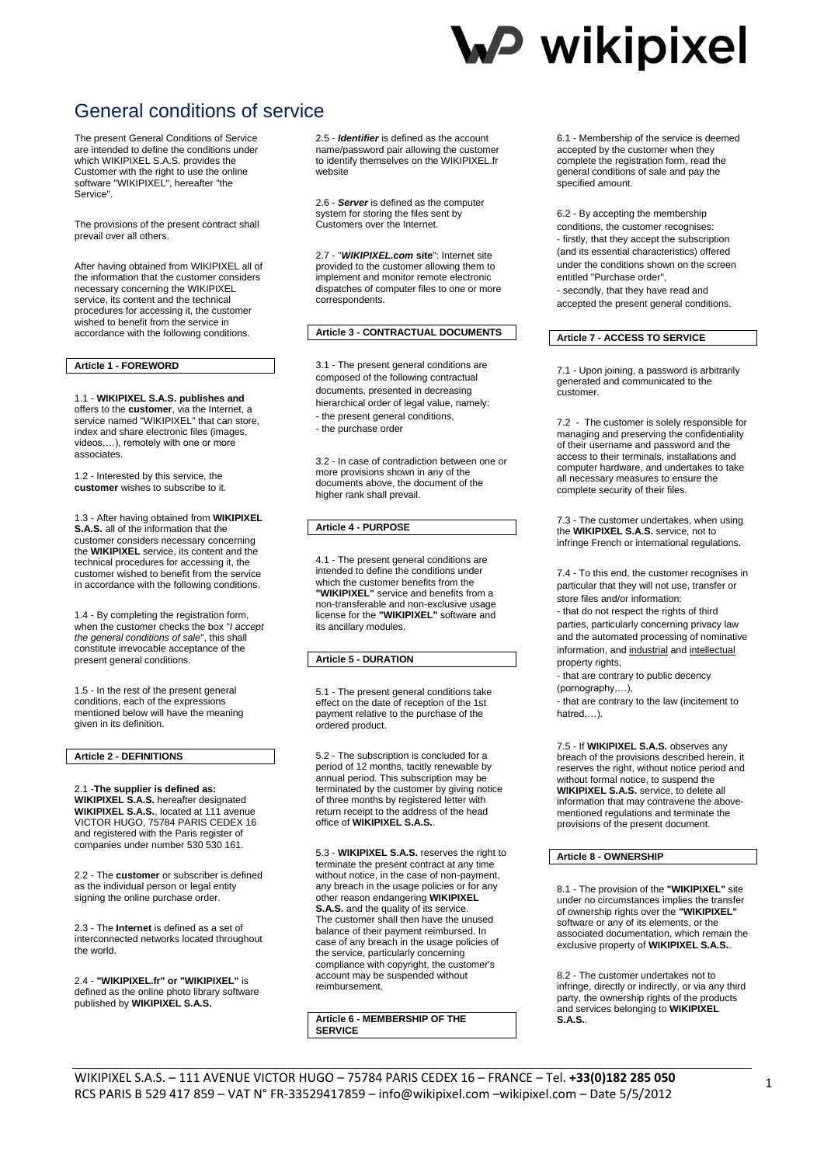## **W** wikipixel

### General conditions of service

The present General Conditions of Service are intended to define the conditions under which WIKIPIXEL S.A.S. provides the Customer with the right to use the online software "WIKIPIXEL", hereafter "the Service".

The provisions of the present contract shall prevail over all others.

After having obtained from WIKIPIXEL all of the information that the customer considers necessary concerning the WIKIPIXEL service, its content and the technical procedures for accessing it, the customer wished to benefit from the service in accordance with the following conditions.

### **Article 1 - FOREWORD**

1.1 - **WIKIPIXEL S.A.S. publishes and**  offers to the **customer**, via the Internet, a service named "WIKIPIXEL" that can store, index and share electronic files (images, videos,…), remotely with one or more associates.

1.2 - Interested by this service, the **customer** wishes to subscribe to it.

1.3 - After having obtained from **WIKIPIXEL S.A.S.** all of the information that the customer considers necessary concerning the **WIKIPIXEL** service, its content and the technical procedures for accessing it, the customer wished to benefit from the service in accordance with the following conditions.

1.4 - By completing the registration form, when the customer checks the box "*I accept the general conditions of sale*", this shall constitute irrevocable acceptance of the present general conditions.

1.5 - In the rest of the present general conditions, each of the expressions mentioned below will have the meaning given in its definition.

### **Article 2 - DEFINITIONS**

2.1 -**The supplier is defined as: WIKIPIXEL S.A.S.** hereafter designated **WIKIPIXEL S.A.S.**, located at 111 avenue VICTOR HUGO, 75784 PARIS CEDEX 16 and registered with the Paris register of companies under number 530 530 161.

2.2 - The **customer** or subscriber is defined as the individual person or legal entity signing the online purchase order.

2.3 - The **Internet** is defined as a set of interconnected networks located throughout the world.

2.4 - **"WIKIPIXEL.fr" or "WIKIPIXEL"** is defined as the online photo library software published by **WIKIPIXEL S.A.S.**

2.5 - *Identifier* is defined as the account name/password pair allowing the customer to identify themselves on the WIKIPIXEL.fr website

2.6 - *Server* is defined as the computer system for storing the files sent by Customers over the Internet.

2.7 - "*WIKIPIXEL.com* **site**": Internet site provided to the customer allowing them to implement and monitor remote electronic dispatches of computer files to one or more correspondents.

### **Article 3 - CONTRACTUAL DOCUMENTS**

3.1 - The present general conditions are composed of the following contractual documents, presented in decreasing hierarchical order of legal value, namely: - the present general conditions, - the purchase order

3.2 - In case of contradiction between one or more provisions shown in any of the documents above, the document of the higher rank shall prevail.

### **Article 4 - PURPOSE**

4.1 - The present general conditions are intended to define the conditions under which the customer benefits from the **"WIKIPIXEL"** service and benefits from a non-transferable and non-exclusive usage license for the **"WIKIPIXEL"** software and its ancillary modules.

### **Article 5 - DURATION**

5.1 - The present general conditions take effect on the date of reception of the 1st payment relative to the purchase of the ordered product.

5.2 - The subscription is concluded for a period of 12 months, tacitly renewable by annual period. This subscription may be terminated by the customer by giving notice of three months by registered letter with return receipt to the address of the head office of **WIKIPIXEL S.A.S.**.

5.3 - **WIKIPIXEL S.A.S.** reserves the right to terminate the present contract at any time without notice, in the case of non-payment, any breach in the usage policies or for any other reason endangering **WIKIPIXEL S.A.S.** and the quality of its service. The customer shall then have the unused balance of their payment reimbursed. In case of any breach in the usage policies of the service, particularly concerning compliance with copyright, the customer's account may be suspended without reimbursement.

**Article 6 - MEMBERSHIP OF THE SERVICE**

6.1 - Membership of the service is deemed accepted by the customer when they complete the registration form, read the general conditions of sale and pay the specified amount.

6.2 - By accepting the membership conditions, the customer recognises: - firstly, that they accept the subscription (and its essential characteristics) offered under the conditions shown on the screen entitled "Purchase order", - secondly, that they have read and

accepted the present general conditions.

### **Article 7 - ACCESS TO SERVICE**

7.1 - Upon joining, a password is arbitrarily generated and communicated to the customer.

7.2 - The customer is solely responsible for managing and preserving the confidentiality of their username and password and the access to their terminals, installations and computer hardware, and undertakes to take all necessary measures to ensure the complete security of their files.

7.3 - The customer undertakes, when using the **WIKIPIXEL S.A.S.** service, not to infringe French or international regulations.

7.4 - To this end, the customer recognises in particular that they will not use, transfer or store files and/or information:

- that do not respect the rights of third parties, particularly concerning privacy law and the automated processing of nominative information, and industrial and intellectual property rights,

- that are contrary to public decency (pornography,…),

- that are contrary to the law (incitement to hatred,…).

7.5 - If **WIKIPIXEL S.A.S.** observes any breach of the provisions described herein, it reserves the right, without notice period and without formal notice, to suspend the **WIKIPIXEL S.A.S.** service, to delete all information that may contravene the abovementioned regulations and terminate the provisions of the present document.

### **Article 8 - OWNERSHIP**

8.1 - The provision of the **"WIKIPIXEL"** site under no circumstances implies the transfer of ownership rights over the **"WIKIPIXEL"** software or any of its elements, or the associated documentation, which remain the exclusive property of **WIKIPIXEL S.A.S.**.

8.2 - The customer undertakes not to infringe, directly or indirectly, or via any third party, the ownership rights of the products and services belonging to **WIKIPIXEL S.A.S.**.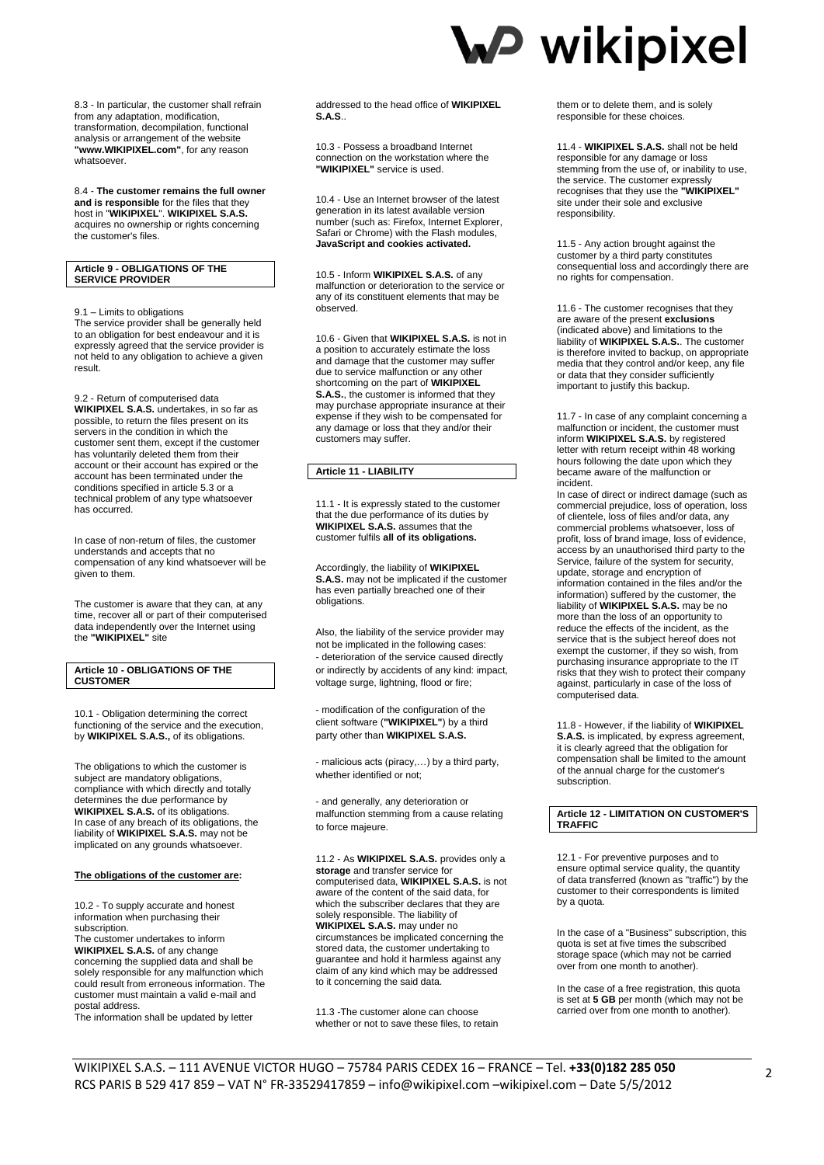8.3 - In particular, the customer shall refrain from any adaptation, modification, transformation, decompilation, functional analysis or arrangement of the website **"www.WIKIPIXEL.com"**, for any reason whatsoever.

8.4 - **The customer remains the full owner and is responsible** for the files that they host in "**WIKIPIXEL**". **WIKIPIXEL S.A.S.** acquires no ownership or rights concerning the customer's files.

### **Article 9 - OBLIGATIONS OF THE SERVICE PROVIDER**

9.1 – Limits to obligations The service provider shall be generally held to an obligation for best endeavour and it is expressly agreed that the service provider is not held to any obligation to achieve a given result.

9.2 - Return of computerised data **WIKIPIXEL S.A.S.** undertakes, in so far as possible, to return the files present on its servers in the condition in which the customer sent them, except if the customer has voluntarily deleted them from their account or their account has expired or the account has been terminated under the conditions specified in article 5.3 or a technical problem of any type whatsoever has occurred.

In case of non-return of files, the customer understands and accepts that no compensation of any kind whatsoever will be given to them.

The customer is aware that they can, at any time, recover all or part of their computerised data independently over the Internet using the **"WIKIPIXEL"** site

### **Article 10 - OBLIGATIONS OF THE CUSTOMER**

10.1 - Obligation determining the correct functioning of the service and the execution, by **WIKIPIXEL S.A.S.,** of its obligations.

The obligations to which the customer is subject are mandatory obligations, compliance with which directly and totally determines the due performance by **WIKIPIXEL S.A.S.** of its obligations. In case of any breach of its obligations, the liability of **WIKIPIXEL S.A.S.** may not be implicated on any grounds whatsoever.

#### **The obligations of the customer are:**

10.2 - To supply accurate and honest information when purchasing their subscription.

The customer undertakes to inform **WIKIPIXEL S.A.S.** of any change concerning the supplied data and shall be solely responsible for any malfunction which could result from erroneous information. The customer must maintain a valid e-mail and postal address.

The information shall be updated by letter

addressed to the head office of **WIKIPIXEL S.A.S**..

10.3 - Possess a broadband Internet connection on the workstation where the **"WIKIPIXEL"** service is used.

10.4 - Use an Internet browser of the latest generation in its latest available version number (such as: Firefox, Internet Explorer, Safari or Chrome) with the Flash modules, **JavaScript and cookies activated.**

10.5 - Inform **WIKIPIXEL S.A.S.** of any malfunction or deterioration to the service or any of its constituent elements that may be observed.

10.6 - Given that **WIKIPIXEL S.A.S.** is not in a position to accurately estimate the loss and damage that the customer may suffer due to service malfunction or any other shortcoming on the part of **WIKIPIXEL S.A.S.**, the customer is informed that they may purchase appropriate insurance at their expense if they wish to be compensated for any damage or loss that they and/or their customers may suffer.

### **Article 11 - LIABILITY**

11.1 - It is expressly stated to the customer that the due performance of its duties by **WIKIPIXEL S.A.S.** assumes that the customer fulfils **all of its obligations.**

Accordingly, the liability of **WIKIPIXEL S.A.S.** may not be implicated if the customer has even partially breached one of their obligations.

Also, the liability of the service provider may not be implicated in the following cases: - deterioration of the service caused directly or indirectly by accidents of any kind: impact, voltage surge, lightning, flood or fire;

- modification of the configuration of the client software (**"WIKIPIXEL"**) by a third party other than **WIKIPIXEL S.A.S.**

- malicious acts (piracy,…) by a third party, whether identified or not;

- and generally, any deterioration or malfunction stemming from a cause relating to force majeure.

11.2 - As **WIKIPIXEL S.A.S.** provides only a **storage** and transfer service for computerised data, **WIKIPIXEL S.A.S.** is not aware of the content of the said data, for which the subscriber declares that they are solely responsible. The liability of **WIKIPIXEL S.A.S.** may under no circumstances be implicated concerning the stored data, the customer undertaking to guarantee and hold it harmless against any claim of any kind which may be addressed to it concerning the said data.

11.3 -The customer alone can choose whether or not to save these files, to retain

### **W** wikipixel

them or to delete them, and is solely responsible for these choices.

11.4 - **WIKIPIXEL S.A.S.** shall not be held responsible for any damage or loss stemming from the use of, or inability to use, the service. The customer expressly recognises that they use the **"WIKIPIXEL"** site under their sole and exclusive responsibility.

11.5 - Any action brought against the customer by a third party constitutes consequential loss and accordingly there are no rights for compensation.

11.6 - The customer recognises that they are aware of the present **exclusions**  (indicated above) and limitations to the liability of **WIKIPIXEL S.A.S.**. The customer is therefore invited to backup, on appropriate media that they control and/or keep, any file or data that they consider sufficiently important to justify this backup.

11.7 - In case of any complaint concerning a malfunction or incident, the customer must inform **WIKIPIXEL S.A.S.** by registered letter with return receipt within 48 working hours following the date upon which they became aware of the malfunction or incident.

In case of direct or indirect damage (such as commercial prejudice, loss of operation, loss of clientele, loss of files and/or data, any commercial problems whatsoever, loss of profit, loss of brand image, loss of evidence, access by an unauthorised third party to the Service, failure of the system for security, update, storage and encryption of information contained in the files and/or the information) suffered by the customer, the liability of **WIKIPIXEL S.A.S.** may be no more than the loss of an opportunity to reduce the effects of the incident, as the service that is the subject hereof does not exempt the customer, if they so wish, from purchasing insurance appropriate to the IT risks that they wish to protect their company against, particularly in case of the loss of computerised data.

11.8 - However, if the liability of **WIKIPIXEL S.A.S.** is implicated, by express agreement, it is clearly agreed that the obligation for compensation shall be limited to the amount of the annual charge for the customer's subscription.

### **Article 12 - LIMITATION ON CUSTOMER'S TRAFFIC**

12.1 - For preventive purposes and to ensure optimal service quality, the quantity of data transferred (known as "traffic") by the customer to their correspondents is limited by a quota.

In the case of a "Business" subscription, this quota is set at five times the subscribed storage space (which may not be carried over from one month to another).

In the case of a free registration, this quota is set at **5 GB** per month (which may not be carried over from one month to another).